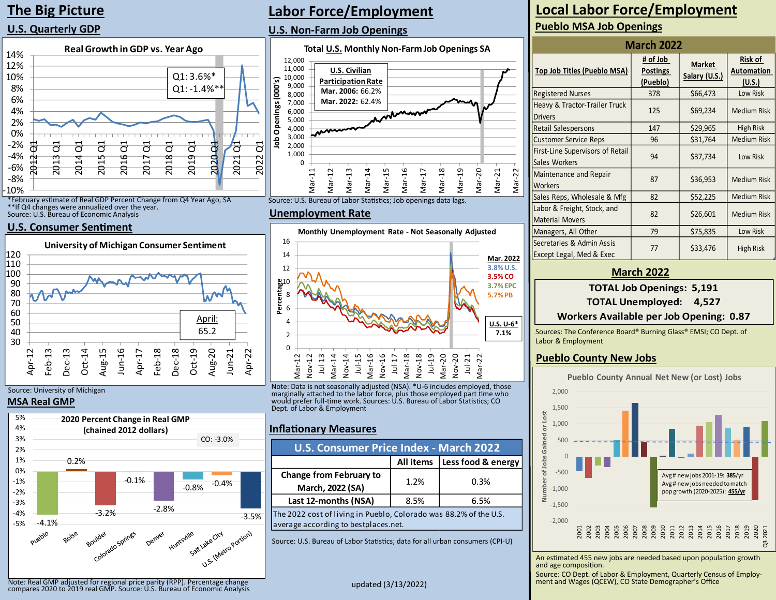# **The Big Picture**

## **U.S. Quarterly GDP**



\*February estimate of Real GDP Percent Change from Q4 Year Ago, SA \*\*If Q4 changes were annualized over the year. Source: U.S. Bureau of Economic Analysis

### **U.S. Consumer Sentiment**



### Source: University of Michigan

### **MSA Real GMP**



# **Labor Force/Employment**

### **U.S. Non-Farm Job Openings**



Source: U.S. Bureau of Labor Statistics; Job openings data lags.

#### **Unemployment Rate**



Note: Data is not seasonally adjusted (NSA). \*U-6 includes employed, those marginally attached to the labor force, plus those employed part time who would prefer full-time work. Sources: U.S. Bureau of Labor Statistics; CO Dept. of Labor & Employment

### **Inflationary Measures**

| <b>U.S. Consumer Price Index - March 2022</b>                                                             |      |      |  |  |  |
|-----------------------------------------------------------------------------------------------------------|------|------|--|--|--|
| Less food & energy<br><b>All items</b>                                                                    |      |      |  |  |  |
| <b>Change from February to</b><br>March, 2022 (SA)                                                        | 1.2% | 0.3% |  |  |  |
| Last 12-months (NSA)<br>8.5%<br>6.5%                                                                      |      |      |  |  |  |
| The 2022 cost of living in Pueblo, Colorado was 88.2% of the U.S.<br>average according to bestplaces.net. |      |      |  |  |  |

Source: U.S. Bureau of Labor Statistics; data for all urban consumers (CPI-U)

## **Pueblo MSA Job Openings Local Labor Force/Employment**

| <b>March 2022</b>                                     |                                         |                                |                                 |  |  |  |
|-------------------------------------------------------|-----------------------------------------|--------------------------------|---------------------------------|--|--|--|
| <b>Top Job Titles (Pueblo MSA)</b>                    | # of Job<br><b>Postings</b><br>(Pueblo) | <b>Market</b><br>Salary (U.S.) | Risk of<br>Automation<br>(U.S.) |  |  |  |
| <b>Registered Nurses</b>                              | 378                                     | \$66,473                       | Low Risk                        |  |  |  |
| Heavy & Tractor-Trailer Truck<br><b>Drivers</b>       | 125                                     | \$69,234                       | Medium Risk                     |  |  |  |
| Retail Salespersons                                   | 147                                     | \$29,965                       | High Risk                       |  |  |  |
| <b>Customer Service Reps</b>                          | 96                                      | \$31,764                       | <b>Medium Risk</b>              |  |  |  |
| First-Line Supervisors of Retail<br>Sales Workers     | 94                                      | \$37,734                       | Low Risk                        |  |  |  |
| Maintenance and Repair<br>Workers                     | 87                                      | \$36,953                       | <b>Medium Risk</b>              |  |  |  |
| Sales Reps, Wholesale & Mfg                           | 82                                      | \$52,225                       | Medium Risk                     |  |  |  |
| Labor & Freight, Stock, and<br><b>Material Movers</b> | 82                                      | \$26,601                       | Medium Risk                     |  |  |  |
| Managers, All Other                                   | 79                                      | \$75,835                       | Low Risk                        |  |  |  |
| Secretaries & Admin Assis<br>Except Legal, Med & Exec | 77                                      | \$33,476                       | High Risk                       |  |  |  |

### **March 2022**

### **TOTAL Job Openings: 5,191**

**TOTAL Unemployed: 4,527**

### **Workers Available per Job Opening: 0.87**

Sources: The Conference Board® Burning Glass® EMSI; CO Dept. of Labor & Employment

### **Pueblo County New Jobs**



An estimated 455 new jobs are needed based upon population growth and age composition.

Source: CO Dept. of Labor & Employment, Quarterly Census of Employment and Wages (QCEW), CO State Demographer's Office

Note: Real GMP adjusted for regional price parity (RPP). Percentage change compares 2020 to 2019 real GMP. Source: U.S. Bureau of Economic Analysis

updated (3/13/2022)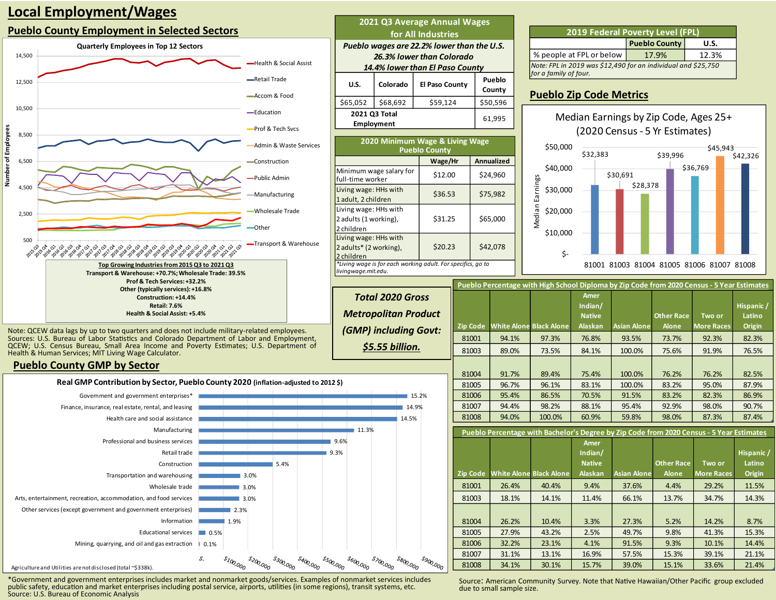# **Local Employment/Wages**

### **Pueblo County Employment in Selected Sectors**



| 2021 Q3 Average Annual Wages<br>for All Industries                                                         |                                    |                |                   |  |  |  |  |  |
|------------------------------------------------------------------------------------------------------------|------------------------------------|----------------|-------------------|--|--|--|--|--|
| Pueblo wages are 22.2% lower than the U.S.<br>26.3% lower than Colorado<br>14.4% lower than El Paso County |                                    |                |                   |  |  |  |  |  |
| U.S.                                                                                                       | Colorado                           | El Paso County | Pueblo<br>County  |  |  |  |  |  |
| \$65,052                                                                                                   | \$68,692                           | \$59,124       | \$50,596          |  |  |  |  |  |
|                                                                                                            | 2021 Q3 Total<br><b>Employment</b> |                | 61,995            |  |  |  |  |  |
| 2020 Minimum Wage & Living Wage<br><b>Pueblo County</b>                                                    |                                    |                |                   |  |  |  |  |  |
|                                                                                                            |                                    | Wage/Hr        | <b>Annualized</b> |  |  |  |  |  |
| full-time worker                                                                                           | Minimum wage salary for            | \$12.00        | \$24,960          |  |  |  |  |  |
| Living wage: HHs with<br>1 adult, 2 children                                                               |                                    | \$36.53        | \$75,982          |  |  |  |  |  |
| Living wage: HHs with<br>2 adults (1 working),<br>2 children                                               |                                    | \$31.25        | \$65,000          |  |  |  |  |  |
| Living wage: HHs with<br>2 adults* (2 working),<br>2 children                                              |                                    | \$20.23        | \$42,078          |  |  |  |  |  |

*\*Living wage is for each working adult. For specifics, go to*

*livingwage.mit.edu.*

**Total 2020 Gross Metropolitan Product** *(GMP) including G* 

*\$5.55 billion.*

| <b>2019 Federal Poverty Level (FPL)</b>                                                |  |  |  |  |  |
|----------------------------------------------------------------------------------------|--|--|--|--|--|
| <b>Pueblo County</b><br>U.S.                                                           |  |  |  |  |  |
| % people at FPL or below<br>17.9%<br>12.3%                                             |  |  |  |  |  |
| Note: FPL in 2019 was \$12,490 for an individual and \$25,750<br>for a family of four. |  |  |  |  |  |

### **Pueblo Zip Code Metrics**



81001 81003 81004 81005 81006 81007 81008

|            |          | Pueblo Percentage with High School Diploma by Zip Code from 2020 Census - 5 Year Estimates |        |                                  |                    |                   |                   |                      |
|------------|----------|--------------------------------------------------------------------------------------------|--------|----------------------------------|--------------------|-------------------|-------------------|----------------------|
| SS<br>duct |          |                                                                                            |        | Amer<br>Indian/<br><b>Native</b> |                    | <b>Other Race</b> | Two or            | Hispanic /<br>Latino |
| iovt:      | Zip Code | <b>White Alone Black Alone</b>                                                             |        | <b>Alaskan</b>                   | <b>Asian Alone</b> | <b>Alone</b>      | <b>More Races</b> | Origin               |
|            | 81001    | 94.1%                                                                                      | 97.3%  | 76.8%                            | 93.5%              | 73.7%             | 92.3%             | 82.3%                |
|            | 81003    | 89.0%                                                                                      | 73.5%  | 84.1%                            | 100.0%             | 75.6%             | 91.9%             | 76.5%                |
|            |          |                                                                                            |        |                                  |                    |                   |                   |                      |
|            | 81004    | 91.7%                                                                                      | 89.4%  | 75.4%                            | 100.0%             | 76.2%             | 76.2%             | 82.5%                |
|            | 81005    | 96.7%                                                                                      | 96.1%  | 83.1%                            | 100.0%             | 83.2%             | 95.0%             | 87.9%                |
| %          | 81006    | 95.4%                                                                                      | 86.5%  | 70.5%                            | 91.5%              | 83.2%             | 82.3%             | 86.9%                |
|            | 81007    | 94.4%                                                                                      | 98.2%  | 88.1%                            | 95.4%              | 92.9%             | 98.0%             | 90.7%                |
|            | 81008    | 94.0%                                                                                      | 100.0% | 60.9%                            | 59.8%              | 98.0%             | 87.3%             | 87.4%                |
|            |          |                                                                                            |        |                                  |                    |                   |                   |                      |

**Pueblo Percentage with Bachelor's Degree by Zip Code from 2020 Census - 5 Year Estimates**

|                 |                                |       | Amer<br>Indian/<br><b>Native</b> |                    | <b>Other Race</b> | Two or            | Hispanic /<br>Latino |
|-----------------|--------------------------------|-------|----------------------------------|--------------------|-------------------|-------------------|----------------------|
| <b>Zip Code</b> | <b>White Alone Black Alone</b> |       | <b>Alaskan</b>                   | <b>Asian Alone</b> | <b>Alone</b>      | <b>More Races</b> | Origin               |
| 81001           | 26.4%                          | 40.4% | 9.4%                             | 37.6%              | 4.4%              | 29.2%             | 11.5%                |
| 81003           | 18.1%                          | 14.1% | 11.4%                            | 66.1%              | 13.7%             | 34.7%             | 14.3%                |
|                 |                                |       |                                  |                    |                   |                   |                      |
| 81004           | 26.2%                          | 10.4% | 3.3%                             | 27.3%              | 5.2%              | 14.2%             | 8.7%                 |
| 81005           | 27.9%                          | 43.2% | 2.5%                             | 49.7%              | 9.8%              | 41.3%             | 15.3%                |
| 81006           | 32.2%                          | 23.1% | 4.1%                             | 91.5%              | 9.3%              | 10.1%             | 14.4%                |
| 81007           | 31.1%                          | 13.1% | 16.9%                            | 57.5%              | 15.3%             | 39.1%             | 21.1%                |
| 81008           | 34.1%                          | 30.1% | 15.7%                            | 39.0%              | 15.1%             | 33.6%             | 21.4%                |

Note: QCEW data lags by up to two quarters and does not include military-related employees. Sources: U.S. Bureau of Labor Statistics and Colorado Department of Labor and Employment, QCEW; U.S. Census Bureau, Small Area Income and Poverty Estimates; U.S. Department of Health & Human Services; MIT Living Wage Calculator.

### **Pueblo County GMP by Sector**



\*Government and government enterprises includes market and nonmarket goods/services. Examples of nonmarket services includes public safety, education and market enterprises including postal service, airports, utilities (in some regions), transit systems, etc. Source: U.S. Bureau of Economic Analysis

Source: American Community Survey. Note that Native Hawaiian/Other Pacific group excluded due to small sample size.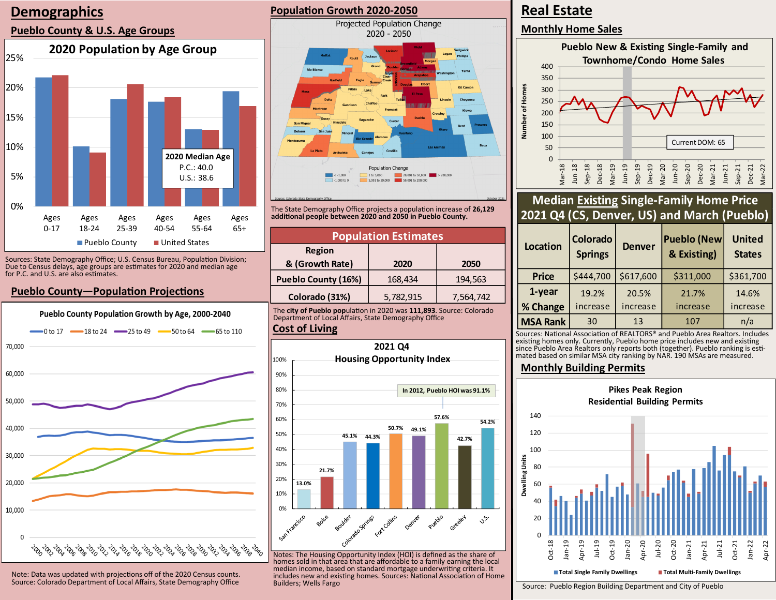# **Demographics**

### **Pueblo County & U.S. Age Groups**



Sources: State Demography Office; U.S. Census Bureau, Population Division; Due to Census delays, age groups are estimates for 2020 and median age for P.C. and U.S. are also estimates.

## **Pueblo County—Population Projections**



Note: Data was updated with projections off of the 2020 Census counts. Source: Colorado Department of Local Affairs, State Demography Office

### **Population Growth 2020-2050**



The State Demography Office projects a population increase of **26,129 additional people between 2020 and 2050 in Pueblo County.**

| <b>Population Estimates</b> |           |           |  |  |  |
|-----------------------------|-----------|-----------|--|--|--|
| <b>Region</b>               |           |           |  |  |  |
| & (Growth Rate)             | 2020      | 2050      |  |  |  |
| <b>Pueblo County (16%)</b>  | 168,434   | 194,563   |  |  |  |
| Colorado (31%)              | 5,782,915 | 7,564,742 |  |  |  |

The **city of Pueblo pop**ulation in 2020 was **111,893**. Source: Colorado Department of Local Affairs, State Demography Office

#### **Cost of Living**



Notes: The Housing Opportunity Index (HOI) is defined as the share of homes sold in that area that are affordable to a family earning the local median income, based on standard mortgage underwriting criteria. It includes new and existing homes. Sources: National Association of Home Builders; Wells Fargo

# **Real Estate**

**Monthly Home Sales**



# **Median Existing Single-Family Home Price 2021 Q4 (CS, Denver, US) and March (Pueblo)**

| <b>Location</b> | <b>Colorado</b><br><b>Springs</b> | <b>Denver</b> | <b>Pueblo (New</b><br>& Existing) | <b>United</b><br><b>States</b> |
|-----------------|-----------------------------------|---------------|-----------------------------------|--------------------------------|
| <b>Price</b>    | \$444,700                         | \$617,600     | \$311,000                         | \$361,700                      |
| 1-year          | 19.2%                             | 20.5%         | 21.7%                             | 14.6%                          |
| % Change        | increase                          | increase      | increase                          | increase                       |
| <b>MSA Rank</b> | 30                                | 13            | 107                               | n/a                            |

Sources: National Association of REALTORS® and Pueblo Area Realtors. Includes existing homes only. Currently, Pueblo home price includes new and existing since Pueblo Area Realtors only reports both (together). Pueblo ranking is estimated based on similar MSA city ranking by NAR. 190 MSAs are measured.

### **Monthly Building Permits**



Source: Pueblo Region Building Department and City of Pueblo